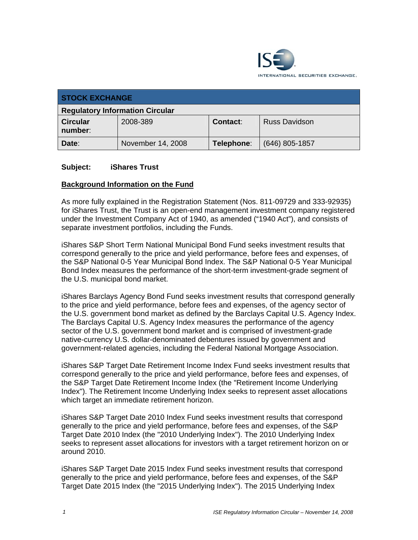

| <b>STOCK EXCHANGE</b>                  |                   |            |                      |  |
|----------------------------------------|-------------------|------------|----------------------|--|
| <b>Regulatory Information Circular</b> |                   |            |                      |  |
| <b>Circular</b><br>number:             | 2008-389          | Contact:   | <b>Russ Davidson</b> |  |
| Date:                                  | November 14, 2008 | Telephone: | $(646)$ 805-1857     |  |

#### **Subject: iShares Trust**

#### **Background Information on the Fund**

As more fully explained in the Registration Statement (Nos. 811-09729 and 333-92935) for iShares Trust, the Trust is an open-end management investment company registered under the Investment Company Act of 1940, as amended ("1940 Act"), and consists of separate investment portfolios, including the Funds.

iShares S&P Short Term National Municipal Bond Fund seeks investment results that correspond generally to the price and yield performance, before fees and expenses, of the S&P National 0-5 Year Municipal Bond Index. The S&P National 0-5 Year Municipal Bond Index measures the performance of the short-term investment-grade segment of the U.S. municipal bond market.

iShares Barclays Agency Bond Fund seeks investment results that correspond generally to the price and yield performance, before fees and expenses, of the agency sector of the U.S. government bond market as defined by the Barclays Capital U.S. Agency Index. The Barclays Capital U.S. Agency Index measures the performance of the agency sector of the U.S. government bond market and is comprised of investment-grade native-currency U.S. dollar-denominated debentures issued by government and government-related agencies, including the Federal National Mortgage Association.

iShares S&P Target Date Retirement Income Index Fund seeks investment results that correspond generally to the price and yield performance, before fees and expenses, of the S&P Target Date Retirement Income Index (the "Retirement Income Underlying Index"). The Retirement Income Underlying Index seeks to represent asset allocations which target an immediate retirement horizon.

iShares S&P Target Date 2010 Index Fund seeks investment results that correspond generally to the price and yield performance, before fees and expenses, of the S&P Target Date 2010 Index (the "2010 Underlying Index"). The 2010 Underlying Index seeks to represent asset allocations for investors with a target retirement horizon on or around 2010.

iShares S&P Target Date 2015 Index Fund seeks investment results that correspond generally to the price and yield performance, before fees and expenses, of the S&P Target Date 2015 Index (the "2015 Underlying Index"). The 2015 Underlying Index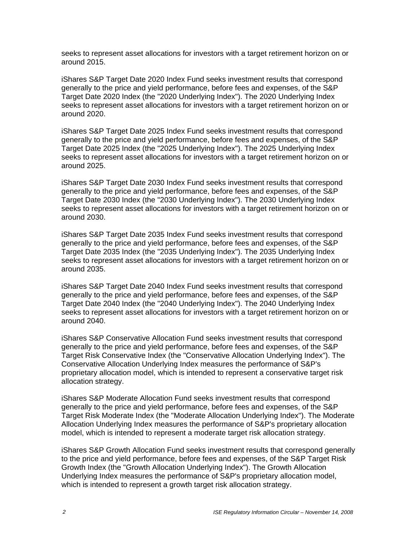seeks to represent asset allocations for investors with a target retirement horizon on or around 2015.

iShares S&P Target Date 2020 Index Fund seeks investment results that correspond generally to the price and yield performance, before fees and expenses, of the S&P Target Date 2020 Index (the "2020 Underlying Index"). The 2020 Underlying Index seeks to represent asset allocations for investors with a target retirement horizon on or around 2020.

iShares S&P Target Date 2025 Index Fund seeks investment results that correspond generally to the price and yield performance, before fees and expenses, of the S&P Target Date 2025 Index (the "2025 Underlying Index"). The 2025 Underlying Index seeks to represent asset allocations for investors with a target retirement horizon on or around 2025.

iShares S&P Target Date 2030 Index Fund seeks investment results that correspond generally to the price and yield performance, before fees and expenses, of the S&P Target Date 2030 Index (the "2030 Underlying Index"). The 2030 Underlying Index seeks to represent asset allocations for investors with a target retirement horizon on or around 2030.

iShares S&P Target Date 2035 Index Fund seeks investment results that correspond generally to the price and yield performance, before fees and expenses, of the S&P Target Date 2035 Index (the "2035 Underlying Index"). The 2035 Underlying Index seeks to represent asset allocations for investors with a target retirement horizon on or around 2035.

iShares S&P Target Date 2040 Index Fund seeks investment results that correspond generally to the price and yield performance, before fees and expenses, of the S&P Target Date 2040 Index (the "2040 Underlying Index"). The 2040 Underlying Index seeks to represent asset allocations for investors with a target retirement horizon on or around 2040.

iShares S&P Conservative Allocation Fund seeks investment results that correspond generally to the price and yield performance, before fees and expenses, of the S&P Target Risk Conservative Index (the "Conservative Allocation Underlying Index"). The Conservative Allocation Underlying Index measures the performance of S&P's proprietary allocation model, which is intended to represent a conservative target risk allocation strategy.

iShares S&P Moderate Allocation Fund seeks investment results that correspond generally to the price and yield performance, before fees and expenses, of the S&P Target Risk Moderate Index (the "Moderate Allocation Underlying Index"). The Moderate Allocation Underlying Index measures the performance of S&P's proprietary allocation model, which is intended to represent a moderate target risk allocation strategy.

iShares S&P Growth Allocation Fund seeks investment results that correspond generally to the price and yield performance, before fees and expenses, of the S&P Target Risk Growth Index (the "Growth Allocation Underlying Index"). The Growth Allocation Underlying Index measures the performance of S&P's proprietary allocation model, which is intended to represent a growth target risk allocation strategy.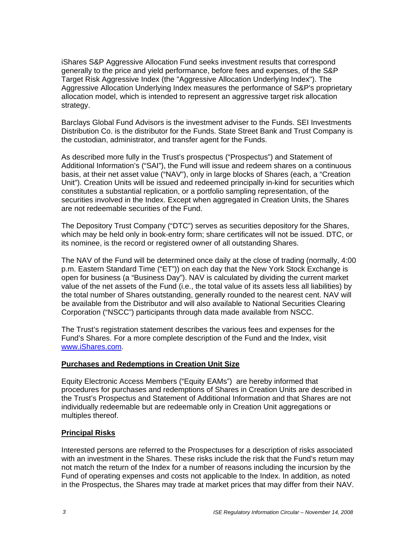iShares S&P Aggressive Allocation Fund seeks investment results that correspond generally to the price and yield performance, before fees and expenses, of the S&P Target Risk Aggressive Index (the "Aggressive Allocation Underlying Index"). The Aggressive Allocation Underlying Index measures the performance of S&P's proprietary allocation model, which is intended to represent an aggressive target risk allocation strategy.

Barclays Global Fund Advisors is the investment adviser to the Funds. SEI Investments Distribution Co. is the distributor for the Funds. State Street Bank and Trust Company is the custodian, administrator, and transfer agent for the Funds.

As described more fully in the Trust's prospectus ("Prospectus") and Statement of Additional Information's ("SAI"), the Fund will issue and redeem shares on a continuous basis, at their net asset value ("NAV"), only in large blocks of Shares (each, a "Creation Unit"). Creation Units will be issued and redeemed principally in-kind for securities which constitutes a substantial replication, or a portfolio sampling representation, of the securities involved in the Index. Except when aggregated in Creation Units, the Shares are not redeemable securities of the Fund.

The Depository Trust Company ("DTC") serves as securities depository for the Shares, which may be held only in book-entry form; share certificates will not be issued. DTC, or its nominee, is the record or registered owner of all outstanding Shares.

The NAV of the Fund will be determined once daily at the close of trading (normally, 4:00 p.m. Eastern Standard Time ("ET")) on each day that the New York Stock Exchange is open for business (a "Business Day"). NAV is calculated by dividing the current market value of the net assets of the Fund (i.e., the total value of its assets less all liabilities) by the total number of Shares outstanding, generally rounded to the nearest cent. NAV will be available from the Distributor and will also available to National Securities Clearing Corporation ("NSCC") participants through data made available from NSCC.

The Trust's registration statement describes the various fees and expenses for the Fund's Shares. For a more complete description of the Fund and the Index, visit www.iShares.com.

#### **Purchases and Redemptions in Creation Unit Size**

Equity Electronic Access Members ("Equity EAMs") are hereby informed that procedures for purchases and redemptions of Shares in Creation Units are described in the Trust's Prospectus and Statement of Additional Information and that Shares are not individually redeemable but are redeemable only in Creation Unit aggregations or multiples thereof.

#### **Principal Risks**

Interested persons are referred to the Prospectuses for a description of risks associated with an investment in the Shares. These risks include the risk that the Fund's return may not match the return of the Index for a number of reasons including the incursion by the Fund of operating expenses and costs not applicable to the Index. In addition, as noted in the Prospectus, the Shares may trade at market prices that may differ from their NAV.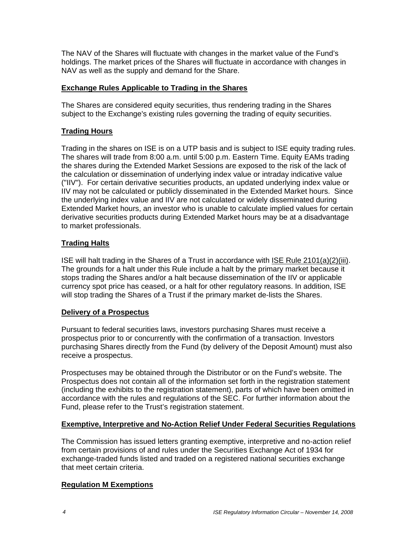The NAV of the Shares will fluctuate with changes in the market value of the Fund's holdings. The market prices of the Shares will fluctuate in accordance with changes in NAV as well as the supply and demand for the Share.

#### **Exchange Rules Applicable to Trading in the Shares**

The Shares are considered equity securities, thus rendering trading in the Shares subject to the Exchange's existing rules governing the trading of equity securities.

## **Trading Hours**

Trading in the shares on ISE is on a UTP basis and is subject to ISE equity trading rules. The shares will trade from 8:00 a.m. until 5:00 p.m. Eastern Time. Equity EAMs trading the shares during the Extended Market Sessions are exposed to the risk of the lack of the calculation or dissemination of underlying index value or intraday indicative value ("IIV"). For certain derivative securities products, an updated underlying index value or IIV may not be calculated or publicly disseminated in the Extended Market hours. Since the underlying index value and IIV are not calculated or widely disseminated during Extended Market hours, an investor who is unable to calculate implied values for certain derivative securities products during Extended Market hours may be at a disadvantage to market professionals.

## **Trading Halts**

ISE will halt trading in the Shares of a Trust in accordance with ISE Rule 2101(a)(2)(iii). The grounds for a halt under this Rule include a halt by the primary market because it stops trading the Shares and/or a halt because dissemination of the IIV or applicable currency spot price has ceased, or a halt for other regulatory reasons. In addition, ISE will stop trading the Shares of a Trust if the primary market de-lists the Shares.

## **Delivery of a Prospectus**

Pursuant to federal securities laws, investors purchasing Shares must receive a prospectus prior to or concurrently with the confirmation of a transaction. Investors purchasing Shares directly from the Fund (by delivery of the Deposit Amount) must also receive a prospectus.

Prospectuses may be obtained through the Distributor or on the Fund's website. The Prospectus does not contain all of the information set forth in the registration statement (including the exhibits to the registration statement), parts of which have been omitted in accordance with the rules and regulations of the SEC. For further information about the Fund, please refer to the Trust's registration statement.

## **Exemptive, Interpretive and No-Action Relief Under Federal Securities Regulations**

The Commission has issued letters granting exemptive, interpretive and no-action relief from certain provisions of and rules under the Securities Exchange Act of 1934 for exchange-traded funds listed and traded on a registered national securities exchange that meet certain criteria.

## **Regulation M Exemptions**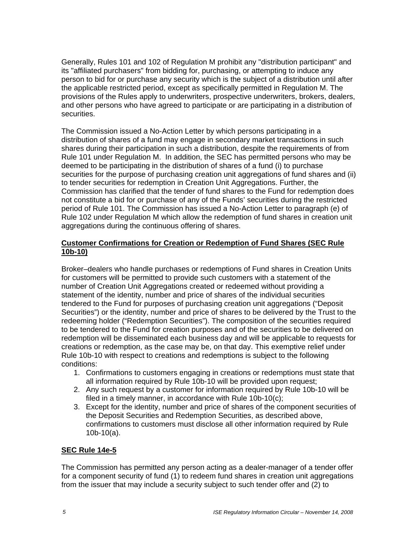Generally, Rules 101 and 102 of Regulation M prohibit any "distribution participant" and its "affiliated purchasers" from bidding for, purchasing, or attempting to induce any person to bid for or purchase any security which is the subject of a distribution until after the applicable restricted period, except as specifically permitted in Regulation M. The provisions of the Rules apply to underwriters, prospective underwriters, brokers, dealers, and other persons who have agreed to participate or are participating in a distribution of securities.

The Commission issued a No-Action Letter by which persons participating in a distribution of shares of a fund may engage in secondary market transactions in such shares during their participation in such a distribution, despite the requirements of from Rule 101 under Regulation M. In addition, the SEC has permitted persons who may be deemed to be participating in the distribution of shares of a fund (i) to purchase securities for the purpose of purchasing creation unit aggregations of fund shares and (ii) to tender securities for redemption in Creation Unit Aggregations. Further, the Commission has clarified that the tender of fund shares to the Fund for redemption does not constitute a bid for or purchase of any of the Funds' securities during the restricted period of Rule 101. The Commission has issued a No-Action Letter to paragraph (e) of Rule 102 under Regulation M which allow the redemption of fund shares in creation unit aggregations during the continuous offering of shares.

#### **Customer Confirmations for Creation or Redemption of Fund Shares (SEC Rule 10b-10)**

Broker–dealers who handle purchases or redemptions of Fund shares in Creation Units for customers will be permitted to provide such customers with a statement of the number of Creation Unit Aggregations created or redeemed without providing a statement of the identity, number and price of shares of the individual securities tendered to the Fund for purposes of purchasing creation unit aggregations ("Deposit Securities") or the identity, number and price of shares to be delivered by the Trust to the redeeming holder ("Redemption Securities"). The composition of the securities required to be tendered to the Fund for creation purposes and of the securities to be delivered on redemption will be disseminated each business day and will be applicable to requests for creations or redemption, as the case may be, on that day. This exemptive relief under Rule 10b-10 with respect to creations and redemptions is subject to the following conditions:

- 1. Confirmations to customers engaging in creations or redemptions must state that all information required by Rule 10b-10 will be provided upon request;
- 2. Any such request by a customer for information required by Rule 10b-10 will be filed in a timely manner, in accordance with Rule 10b-10(c);
- 3. Except for the identity, number and price of shares of the component securities of the Deposit Securities and Redemption Securities, as described above, confirmations to customers must disclose all other information required by Rule 10b-10(a).

#### **SEC Rule 14e-5**

The Commission has permitted any person acting as a dealer-manager of a tender offer for a component security of fund (1) to redeem fund shares in creation unit aggregations from the issuer that may include a security subject to such tender offer and (2) to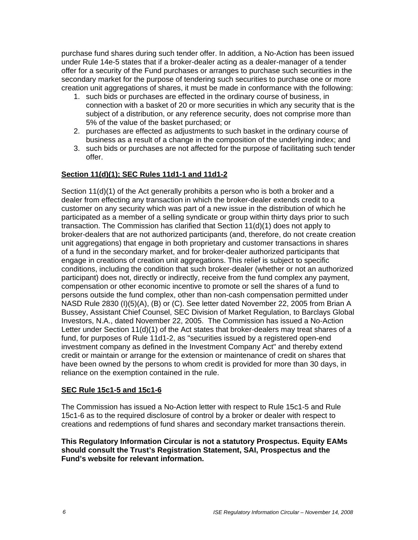purchase fund shares during such tender offer. In addition, a No-Action has been issued under Rule 14e-5 states that if a broker-dealer acting as a dealer-manager of a tender offer for a security of the Fund purchases or arranges to purchase such securities in the secondary market for the purpose of tendering such securities to purchase one or more creation unit aggregations of shares, it must be made in conformance with the following:

- 1. such bids or purchases are effected in the ordinary course of business, in connection with a basket of 20 or more securities in which any security that is the subject of a distribution, or any reference security, does not comprise more than 5% of the value of the basket purchased; or
- 2. purchases are effected as adjustments to such basket in the ordinary course of business as a result of a change in the composition of the underlying index; and
- 3. such bids or purchases are not affected for the purpose of facilitating such tender offer.

### **Section 11(d)(1); SEC Rules 11d1-1 and 11d1-2**

Section 11(d)(1) of the Act generally prohibits a person who is both a broker and a dealer from effecting any transaction in which the broker-dealer extends credit to a customer on any security which was part of a new issue in the distribution of which he participated as a member of a selling syndicate or group within thirty days prior to such transaction. The Commission has clarified that Section 11(d)(1) does not apply to broker-dealers that are not authorized participants (and, therefore, do not create creation unit aggregations) that engage in both proprietary and customer transactions in shares of a fund in the secondary market, and for broker-dealer authorized participants that engage in creations of creation unit aggregations. This relief is subject to specific conditions, including the condition that such broker-dealer (whether or not an authorized participant) does not, directly or indirectly, receive from the fund complex any payment, compensation or other economic incentive to promote or sell the shares of a fund to persons outside the fund complex, other than non-cash compensation permitted under NASD Rule 2830 (I)(5)(A), (B) or (C). See letter dated November 22, 2005 from Brian A Bussey, Assistant Chief Counsel, SEC Division of Market Regulation, to Barclays Global Investors, N.A., dated November 22, 2005. The Commission has issued a No-Action Letter under Section 11(d)(1) of the Act states that broker-dealers may treat shares of a fund, for purposes of Rule 11d1-2, as "securities issued by a registered open-end investment company as defined in the Investment Company Act" and thereby extend credit or maintain or arrange for the extension or maintenance of credit on shares that have been owned by the persons to whom credit is provided for more than 30 days, in reliance on the exemption contained in the rule.

#### **SEC Rule 15c1-5 and 15c1-6**

The Commission has issued a No-Action letter with respect to Rule 15c1-5 and Rule 15c1-6 as to the required disclosure of control by a broker or dealer with respect to creations and redemptions of fund shares and secondary market transactions therein.

#### **This Regulatory Information Circular is not a statutory Prospectus. Equity EAMs should consult the Trust's Registration Statement, SAI, Prospectus and the Fund's website for relevant information.**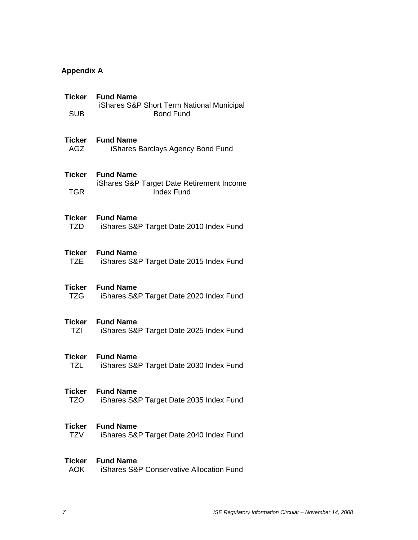## **Appendix A**

| Ticker<br><b>Fund Name</b><br>iShares S&P Short Term National Municipal<br><b>Bond Fund</b> |
|---------------------------------------------------------------------------------------------|
| <b>Fund Name</b><br>Ticker<br>iShares Barclays Agency Bond Fund                             |
| Ticker<br><b>Fund Name</b>                                                                  |
| iShares S&P Target Date Retirement Income<br><b>Index Fund</b>                              |
| <b>Fund Name</b><br>Ticker<br>iShares S&P Target Date 2010 Index Fund<br>TZD to the T       |
| Ticker<br><b>Fund Name</b><br>TZE<br>iShares S&P Target Date 2015 Index Fund                |
| <b>Fund Name</b><br>Ticker<br>iShares S&P Target Date 2020 Index Fund<br>TZG                |
| Ticker<br><b>Fund Name</b><br>iShares S&P Target Date 2025 Index Fund                       |
| <b>Fund Name</b><br>Ticker<br>iShares S&P Target Date 2030 Index Fund<br>TZL                |
| Ticker<br><b>Fund Name</b><br>iShares S&P Target Date 2035 Index Fund                       |
| <b>Fund Name</b><br>iShares S&P Target Date 2040 Index Fund                                 |
|                                                                                             |

# **Ticker Fund Name**

iShares S&P Conservative Allocation Fund